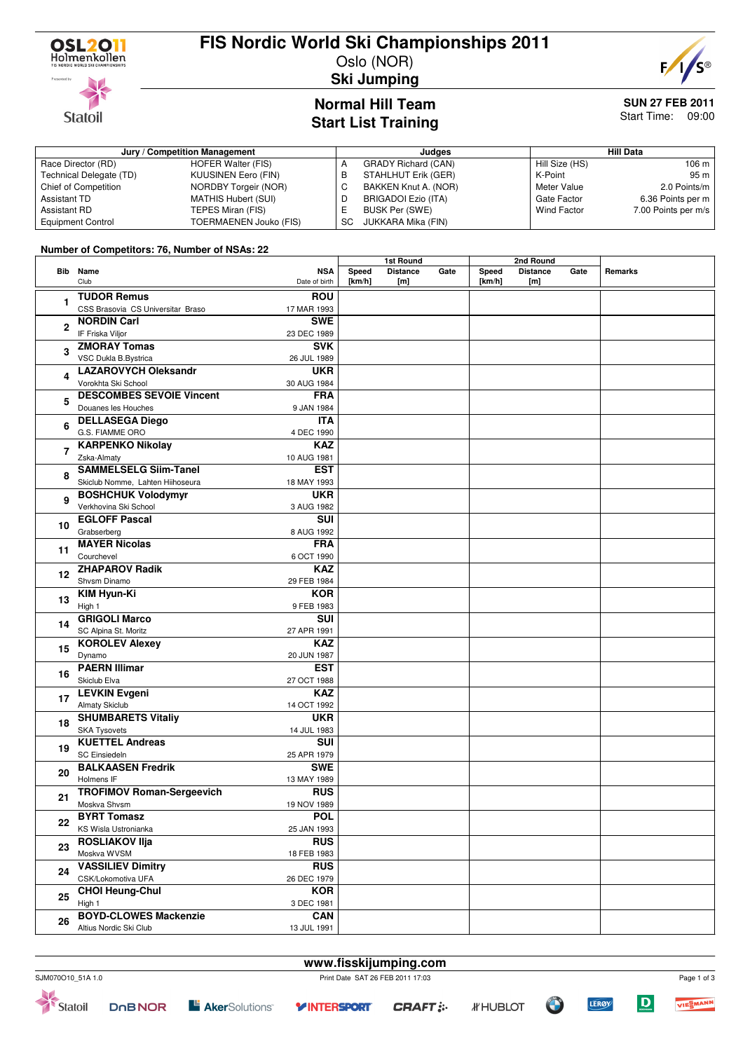

**Statoil** 

### **FIS Nordic World Ski Championships 2011**

Oslo (NOR)



**Ski Jumping**

# **Normal Hill Team**

#### **SUN 27 FEB 2011** Start Time: 09:00

## **Start List Training**

| $U(u)$ , List Hanning         |                            |           |                            |         |                  |                     |  |  |  |  |
|-------------------------------|----------------------------|-----------|----------------------------|---------|------------------|---------------------|--|--|--|--|
| Jury / Competition Management |                            |           | Judges                     |         | <b>Hill Data</b> |                     |  |  |  |  |
| Race Director (RD)            | HOFER Walter (FIS)         |           | <b>GRADY Richard (CAN)</b> |         | Hill Size (HS)   | 106 <sub>m</sub>    |  |  |  |  |
| Technical Delegate (TD)       | KUUSINEN Eero (FIN)        | в         | STAHLHUT Erik (GER)        | K-Point |                  | 95 m                |  |  |  |  |
| Chief of Competition          | NORDBY Torgeir (NOR)       | ◡         | BAKKEN Knut A. (NOR)       |         | Meter Value      | 2.0 Points/m        |  |  |  |  |
| Assistant TD                  | <b>MATHIS Hubert (SUI)</b> | ◡         | BRIGADOI Ezio (ITA)        |         | Gate Factor      | 6.36 Points per m   |  |  |  |  |
| <b>Assistant RD</b>           | TEPES Miran (FIS)          | −         | <b>BUSK Per (SWE)</b>      |         | Wind Factor      | 7.00 Points per m/s |  |  |  |  |
| <b>Equipment Control</b>      | TOERMAENEN Jouko (FIS)     | <b>SC</b> | JUKKARA Mika (FIN)         |         |                  |                     |  |  |  |  |

#### **Number of Competitors: 76, Number of NSAs: 22**

|                |                                   |               |        | 1st Round       |      |        | 2nd Round       |      |         |  |
|----------------|-----------------------------------|---------------|--------|-----------------|------|--------|-----------------|------|---------|--|
|                | Bib Name                          | <b>NSA</b>    | Speed  | <b>Distance</b> | Gate | Speed  | <b>Distance</b> | Gate | Remarks |  |
|                | Club                              | Date of birth | [km/h] | [m]             |      | [km/h] | [m]             |      |         |  |
|                | <b>TUDOR Remus</b>                | <b>ROU</b>    |        |                 |      |        |                 |      |         |  |
| 1              | CSS Brasovia CS Universitar Braso | 17 MAR 1993   |        |                 |      |        |                 |      |         |  |
|                | <b>NORDIN Carl</b>                | <b>SWE</b>    |        |                 |      |        |                 |      |         |  |
| $\overline{2}$ | IF Friska Viljor                  | 23 DEC 1989   |        |                 |      |        |                 |      |         |  |
|                | <b>ZMORAY Tomas</b>               | <b>SVK</b>    |        |                 |      |        |                 |      |         |  |
| 3              |                                   |               |        |                 |      |        |                 |      |         |  |
|                | VSC Dukla B.Bystrica              | 26 JUL 1989   |        |                 |      |        |                 |      |         |  |
| 4              | <b>LAZAROVYCH Oleksandr</b>       | <b>UKR</b>    |        |                 |      |        |                 |      |         |  |
|                | Vorokhta Ski School               | 30 AUG 1984   |        |                 |      |        |                 |      |         |  |
| 5              | <b>DESCOMBES SEVOIE Vincent</b>   | <b>FRA</b>    |        |                 |      |        |                 |      |         |  |
|                | Douanes les Houches               | 9 JAN 1984    |        |                 |      |        |                 |      |         |  |
| 6              | <b>DELLASEGA Diego</b>            | <b>ITA</b>    |        |                 |      |        |                 |      |         |  |
|                | G.S. FIAMME ORO                   | 4 DEC 1990    |        |                 |      |        |                 |      |         |  |
| $\overline{7}$ | <b>KARPENKO Nikolay</b>           | <b>KAZ</b>    |        |                 |      |        |                 |      |         |  |
|                | Zska-Almaty                       | 10 AUG 1981   |        |                 |      |        |                 |      |         |  |
|                | <b>SAMMELSELG Siim-Tanel</b>      | <b>EST</b>    |        |                 |      |        |                 |      |         |  |
| 8              | Skiclub Nomme, Lahten Hiihoseura  | 18 MAY 1993   |        |                 |      |        |                 |      |         |  |
|                | <b>BOSHCHUK Volodymyr</b>         | <b>UKR</b>    |        |                 |      |        |                 |      |         |  |
| 9              | Verkhovina Ski School             | 3 AUG 1982    |        |                 |      |        |                 |      |         |  |
|                | <b>EGLOFF Pascal</b>              | <b>SUI</b>    |        |                 |      |        |                 |      |         |  |
| 10             | Grabserberg                       | 8 AUG 1992    |        |                 |      |        |                 |      |         |  |
|                | <b>MAYER Nicolas</b>              | <b>FRA</b>    |        |                 |      |        |                 |      |         |  |
| 11             | Courchevel                        |               |        |                 |      |        |                 |      |         |  |
|                | <b>ZHAPAROV Radik</b>             | 6 OCT 1990    |        |                 |      |        |                 |      |         |  |
| 12             |                                   | <b>KAZ</b>    |        |                 |      |        |                 |      |         |  |
|                | Shvsm Dinamo                      | 29 FEB 1984   |        |                 |      |        |                 |      |         |  |
| 13             | KIM Hyun-Ki                       | <b>KOR</b>    |        |                 |      |        |                 |      |         |  |
|                | High 1                            | 9 FEB 1983    |        |                 |      |        |                 |      |         |  |
| 14             | <b>GRIGOLI Marco</b>              | <b>SUI</b>    |        |                 |      |        |                 |      |         |  |
|                | SC Alpina St. Moritz              | 27 APR 1991   |        |                 |      |        |                 |      |         |  |
| 15             | <b>KOROLEV Alexey</b>             | <b>KAZ</b>    |        |                 |      |        |                 |      |         |  |
|                | Dynamo                            | 20 JUN 1987   |        |                 |      |        |                 |      |         |  |
|                | <b>PAERN Illimar</b>              | <b>EST</b>    |        |                 |      |        |                 |      |         |  |
| 16             | Skiclub Elva                      | 27 OCT 1988   |        |                 |      |        |                 |      |         |  |
|                | <b>LEVKIN Evgeni</b>              | <b>KAZ</b>    |        |                 |      |        |                 |      |         |  |
| 17             | Almaty Skiclub                    | 14 OCT 1992   |        |                 |      |        |                 |      |         |  |
|                | <b>SHUMBARETS Vitaliy</b>         | <b>UKR</b>    |        |                 |      |        |                 |      |         |  |
| 18             | <b>SKA Tysovets</b>               | 14 JUL 1983   |        |                 |      |        |                 |      |         |  |
|                | <b>KUETTEL Andreas</b>            | SUI           |        |                 |      |        |                 |      |         |  |
| 19             | <b>SC Einsiedeln</b>              | 25 APR 1979   |        |                 |      |        |                 |      |         |  |
|                | <b>BALKAASEN Fredrik</b>          | <b>SWE</b>    |        |                 |      |        |                 |      |         |  |
| 20             | Holmens IF                        | 13 MAY 1989   |        |                 |      |        |                 |      |         |  |
| 21             | <b>TROFIMOV Roman-Sergeevich</b>  | <b>RUS</b>    |        |                 |      |        |                 |      |         |  |
|                |                                   |               |        |                 |      |        |                 |      |         |  |
|                | Moskva Shvsm                      | 19 NOV 1989   |        |                 |      |        |                 |      |         |  |
| 22             | <b>BYRT Tomasz</b>                | <b>POL</b>    |        |                 |      |        |                 |      |         |  |
|                | KS Wisla Ustronianka              | 25 JAN 1993   |        |                 |      |        |                 |      |         |  |
| 23             | <b>ROSLIAKOV IIja</b>             | <b>RUS</b>    |        |                 |      |        |                 |      |         |  |
|                | Moskva WVSM                       | 18 FEB 1983   |        |                 |      |        |                 |      |         |  |
| 24             | <b>VASSILIEV Dimitry</b>          | <b>RUS</b>    |        |                 |      |        |                 |      |         |  |
|                | CSK/Lokomotiva UFA                | 26 DEC 1979   |        |                 |      |        |                 |      |         |  |
| 25             | <b>CHOI Heung-Chul</b>            | <b>KOR</b>    |        |                 |      |        |                 |      |         |  |
|                | High 1                            | 3 DEC 1981    |        |                 |      |        |                 |      |         |  |
|                | <b>BOYD-CLOWES Mackenzie</b>      | CAN           |        |                 |      |        |                 |      |         |  |
| 26             | Altius Nordic Ski Club            | 13 JUL 1991   |        |                 |      |        |                 |      |         |  |

**DOBNOR** 

**CRAFT: :-**

**Y INTERSPORT** 

**L' Aker**Solutions<sup>®</sup>



 $\mathbf D$ 

**LEROY**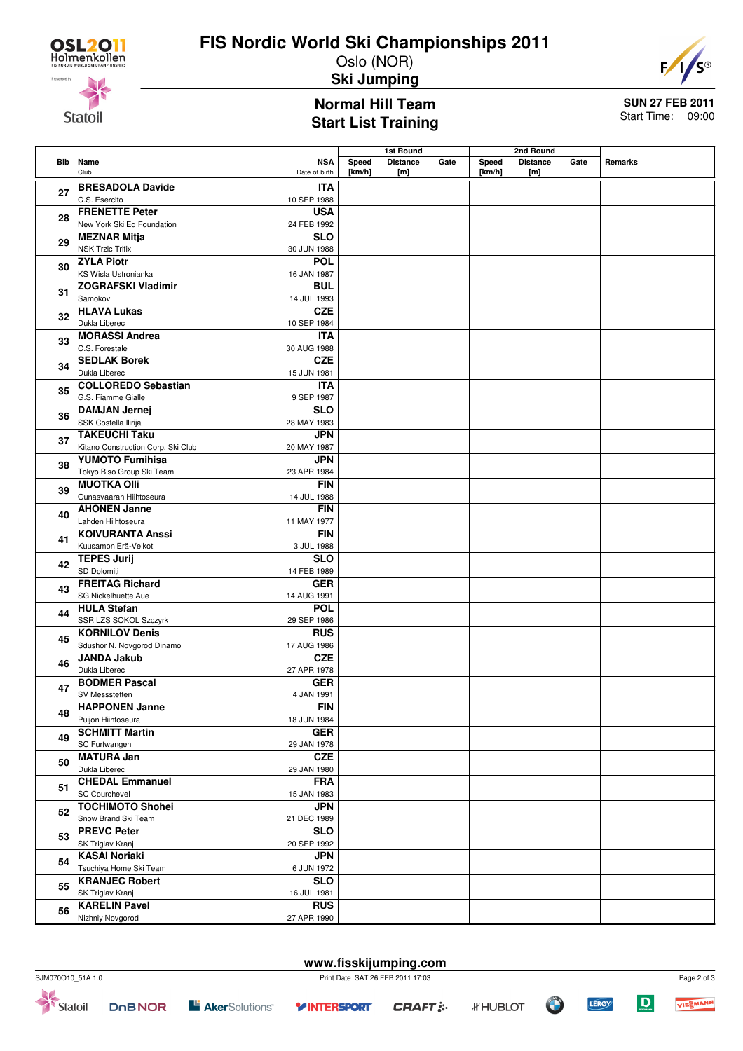## **FIS Nordic World Ski Championships 2011**

Oslo (NOR) **Ski Jumping**



**Statoil** 

### **Normal Hill Team Start List Training**

**SUN 27 FEB 2011** Start Time: 09:00

|    |                                                            |                             |                 | 1st Round              |      | 2nd Round       |                        |      |         |
|----|------------------------------------------------------------|-----------------------------|-----------------|------------------------|------|-----------------|------------------------|------|---------|
|    | <b>Bib</b> Name<br>Club                                    | <b>NSA</b><br>Date of birth | Speed<br>[km/h] | <b>Distance</b><br>[m] | Gate | Speed<br>[km/h] | <b>Distance</b><br>[m] | Gate | Remarks |
| 27 | <b>BRESADOLA Davide</b><br>C.S. Esercito                   | <b>ITA</b><br>10 SEP 1988   |                 |                        |      |                 |                        |      |         |
| 28 | <b>FRENETTE Peter</b><br>New York Ski Ed Foundation        | <b>USA</b><br>24 FEB 1992   |                 |                        |      |                 |                        |      |         |
| 29 | <b>MEZNAR Mitja</b><br><b>NSK Trzic Trifix</b>             | <b>SLO</b><br>30 JUN 1988   |                 |                        |      |                 |                        |      |         |
| 30 | <b>ZYLA Piotr</b><br>KS Wisla Ustronianka                  | <b>POL</b><br>16 JAN 1987   |                 |                        |      |                 |                        |      |         |
| 31 | <b>ZOGRAFSKI Vladimir</b><br>Samokov                       | <b>BUL</b><br>14 JUL 1993   |                 |                        |      |                 |                        |      |         |
| 32 | <b>HLAVA Lukas</b><br>Dukla Liberec                        | <b>CZE</b><br>10 SEP 1984   |                 |                        |      |                 |                        |      |         |
| 33 | <b>MORASSI Andrea</b><br>C.S. Forestale                    | <b>ITA</b><br>30 AUG 1988   |                 |                        |      |                 |                        |      |         |
| 34 | <b>SEDLAK Borek</b><br>Dukla Liberec                       | <b>CZE</b><br>15 JUN 1981   |                 |                        |      |                 |                        |      |         |
| 35 | <b>COLLOREDO Sebastian</b><br>G.S. Fiamme Gialle           | <b>ITA</b><br>9 SEP 1987    |                 |                        |      |                 |                        |      |         |
| 36 | <b>DAMJAN Jernej</b><br>SSK Costella Ilirija               | <b>SLO</b><br>28 MAY 1983   |                 |                        |      |                 |                        |      |         |
| 37 | <b>TAKEUCHI Taku</b><br>Kitano Construction Corp. Ski Club | <b>JPN</b><br>20 MAY 1987   |                 |                        |      |                 |                        |      |         |
| 38 | <b>YUMOTO Fumihisa</b><br>Tokyo Biso Group Ski Team        | JPN<br>23 APR 1984          |                 |                        |      |                 |                        |      |         |
| 39 | <b>MUOTKA Olli</b><br>Ounasvaaran Hiihtoseura              | <b>FIN</b><br>14 JUL 1988   |                 |                        |      |                 |                        |      |         |
| 40 | <b>AHONEN Janne</b><br>Lahden Hiihtoseura                  | <b>FIN</b><br>11 MAY 1977   |                 |                        |      |                 |                        |      |         |
| 41 | <b>KOIVURANTA Anssi</b><br>Kuusamon Erä-Veikot             | <b>FIN</b><br>3 JUL 1988    |                 |                        |      |                 |                        |      |         |
| 42 | <b>TEPES Jurij</b><br>SD Dolomiti                          | <b>SLO</b><br>14 FEB 1989   |                 |                        |      |                 |                        |      |         |
| 43 | <b>FREITAG Richard</b><br>SG Nickelhuette Aue              | <b>GER</b><br>14 AUG 1991   |                 |                        |      |                 |                        |      |         |
| 44 | <b>HULA Stefan</b><br>SSR LZS SOKOL Szczyrk                | <b>POL</b><br>29 SEP 1986   |                 |                        |      |                 |                        |      |         |
| 45 | <b>KORNILOV Denis</b><br>Sdushor N. Novgorod Dinamo        | <b>RUS</b><br>17 AUG 1986   |                 |                        |      |                 |                        |      |         |
| 46 | <b>JANDA Jakub</b><br>Dukla Liberec                        | <b>CZE</b><br>27 APR 1978   |                 |                        |      |                 |                        |      |         |
| 47 | <b>BODMER Pascal</b><br>SV Messstetten                     | <b>GER</b><br>4 JAN 1991    |                 |                        |      |                 |                        |      |         |
| 48 | <b>HAPPONEN Janne</b><br>Puijon Hiihtoseura                | FIN<br>18 JUN 1984          |                 |                        |      |                 |                        |      |         |
| 49 | <b>SCHMITT Martin</b><br>SC Furtwangen                     | GER<br>29 JAN 1978          |                 |                        |      |                 |                        |      |         |
| 50 | <b>MATURA Jan</b><br>Dukla Liberec                         | <b>CZE</b><br>29 JAN 1980   |                 |                        |      |                 |                        |      |         |
| 51 | <b>CHEDAL Emmanuel</b><br><b>SC Courchevel</b>             | <b>FRA</b><br>15 JAN 1983   |                 |                        |      |                 |                        |      |         |
| 52 | <b>TOCHIMOTO Shohei</b><br>Snow Brand Ski Team             | <b>JPN</b><br>21 DEC 1989   |                 |                        |      |                 |                        |      |         |
| 53 | <b>PREVC Peter</b><br>SK Triglav Kranj                     | <b>SLO</b><br>20 SEP 1992   |                 |                        |      |                 |                        |      |         |
| 54 | <b>KASAI Noriaki</b><br>Tsuchiya Home Ski Team             | <b>JPN</b><br>6 JUN 1972    |                 |                        |      |                 |                        |      |         |
| 55 | <b>KRANJEC Robert</b><br>SK Triglav Kranj                  | <b>SLO</b><br>16 JUL 1981   |                 |                        |      |                 |                        |      |         |
| 56 | <b>KARELIN Pavel</b><br>Nizhniy Novgorod                   | <b>RUS</b><br>27 APR 1990   |                 |                        |      |                 |                        |      |         |